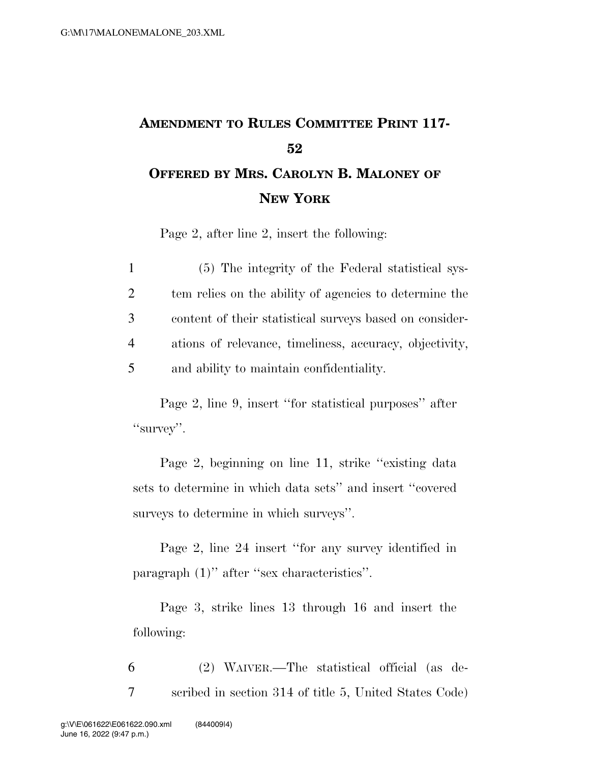## **AMENDMENT TO RULES COMMITTEE PRINT 117- 52 OFFERED BY MRS. CAROLYN B. MALONEY OF**

**NEW YORK**

Page 2, after line 2, insert the following:

|                | (5) The integrity of the Federal statistical sys-       |
|----------------|---------------------------------------------------------|
| 2              | tem relies on the ability of agencies to determine the  |
| 3              | content of their statistical surveys based on consider- |
| $\overline{4}$ | ations of relevance, timeliness, accuracy, objectivity, |
| 5              | and ability to maintain confidentiality.                |

Page 2, line 9, insert ''for statistical purposes'' after "survey".

Page 2, beginning on line 11, strike ''existing data sets to determine in which data sets'' and insert ''covered surveys to determine in which surveys''.

Page 2, line 24 insert ''for any survey identified in paragraph (1)'' after ''sex characteristics''.

Page 3, strike lines 13 through 16 and insert the following:

6 (2) WAIVER.—The statistical official (as de-7 scribed in section 314 of title 5, United States Code)